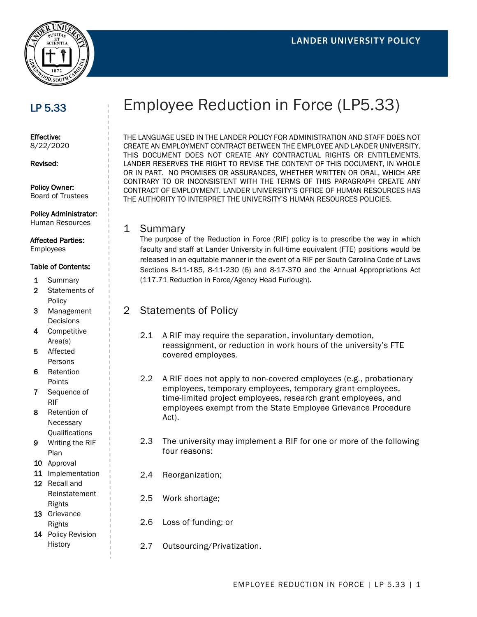

# LP 5.33

Effective: 8/22/2020

Revised:

Policy Owner: Board of Trustees

Policy Administrator:

#### Human Resources

Affected Parties: Employees

The purpose of the Reduction in Force (RIF) policy is to prescribe the way in which faculty and staff at Lander University in full-time equivalent (FTE) positions would be released in an equitable manner in the event of a RIF per South Carolina Code of Laws Sections 8-11-185, 8-11-230 (6) and 8-17-370 and the Annual Appropriations Act

# 2 Statements of Policy

- 2.1 A RIF may require the separation, involuntary demotion, reassignment, or reduction in work hours of the university's FTE covered employees.
- 2.2 A RIF does not apply to non-covered employees (e.g., probationary employees, temporary employees, temporary grant employees, time-limited project employees, research grant employees, and employees exempt from the State Employee Grievance Procedure Act).
- 2.3 The university may implement a RIF for one or more of the following four reasons:
- 2.4 Reorganization;
- 2.5 Work shortage;
- 2.6 Loss of funding; or
- 2.7 Outsourcing/Privatization.

# Employee Reduction in Force (LP5.33)

THE LANGUAGE USED IN THE LANDER POLICY FOR ADMINISTRATION AND STAFF DOES NOT CREATE AN EMPLOYMENT CONTRACT BETWEEN THE EMPLOYEE AND LANDER UNIVERSITY. THIS DOCUMENT DOES NOT CREATE ANY CONTRACTUAL RIGHTS OR ENTITLEMENTS. LANDER RESERVES THE RIGHT TO REVISE THE CONTENT OF THIS DOCUMENT, IN WHOLE OR IN PART. NO PROMISES OR ASSURANCES, WHETHER WRITTEN OR ORAL, WHICH ARE CONTRARY TO OR INCONSISTENT WITH THE TERMS OF THIS PARAGRAPH CREATE ANY CONTRACT OF EMPLOYMENT. LANDER UNIVERSITY'S OFFICE OF HUMAN RESOURCES HAS THE AUTHORITY TO INTERPRET THE UNIVERSITY'S HUMAN RESOURCES POLICIES.

#### 1 Summary

(117.71 Reduction in Force/Agency Head Furlough).

#### Table of Contents:

- 1 Summary
- 2 Statements of Policy
- 3 Management **Decisions**
- 4 Competitive Area(s)
- 5 Affected Persons
- 6 Retention Points
- 7 Sequence of RIF
- 8 Retention of **Necessary** Qualifications
- 9 Writing the RIF Plan
- 10 Approval
- 11 Implementation 12 Recall and
- Reinstatement Rights
- 13 Grievance Rights
- 14 Policy Revision History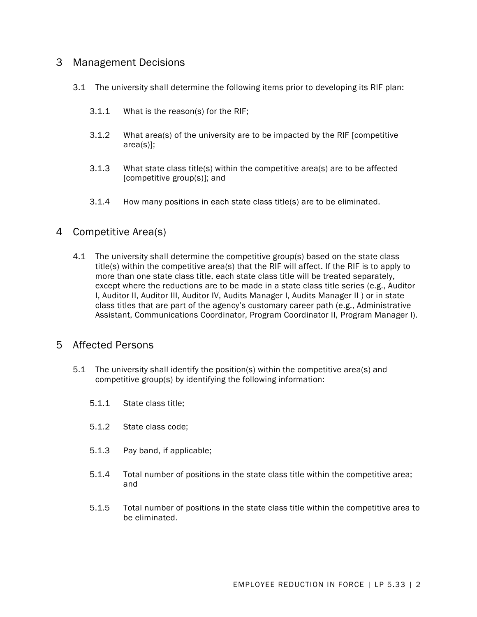### 3 Management Decisions

- 3.1 The university shall determine the following items prior to developing its RIF plan:
	- 3.1.1 What is the reason(s) for the RIF;
	- 3.1.2 What area(s) of the university are to be impacted by the RIF [competitive area(s)];
	- 3.1.3 What state class title(s) within the competitive area(s) are to be affected [competitive group(s)]; and
	- 3.1.4 How many positions in each state class title(s) are to be eliminated.

#### 4 Competitive Area(s)

4.1 The university shall determine the competitive group(s) based on the state class title(s) within the competitive area(s) that the RIF will affect. If the RIF is to apply to more than one state class title, each state class title will be treated separately, except where the reductions are to be made in a state class title series (e.g., Auditor I, Auditor II, Auditor III, Auditor IV, Audits Manager I, Audits Manager II ) or in state class titles that are part of the agency's customary career path (e.g., Administrative Assistant, Communications Coordinator, Program Coordinator II, Program Manager I).

#### 5 Affected Persons

- 5.1 The university shall identify the position(s) within the competitive area(s) and competitive group(s) by identifying the following information:
	- 5.1.1 State class title;
	- 5.1.2 State class code;
	- 5.1.3 Pay band, if applicable;
	- 5.1.4 Total number of positions in the state class title within the competitive area; and
	- 5.1.5 Total number of positions in the state class title within the competitive area to be eliminated.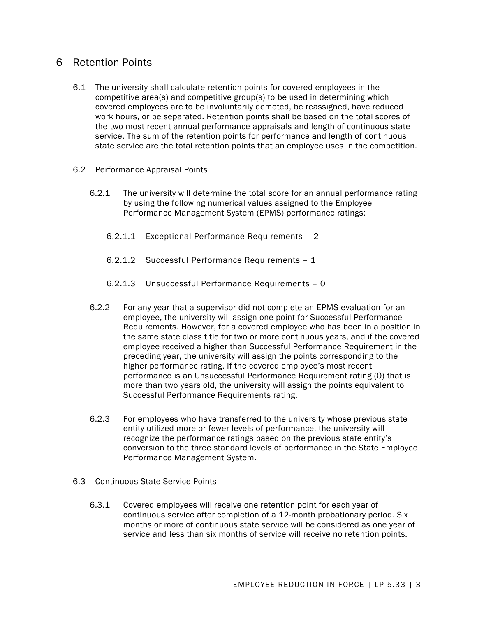### 6 Retention Points

- 6.1 The university shall calculate retention points for covered employees in the competitive area(s) and competitive group(s) to be used in determining which covered employees are to be involuntarily demoted, be reassigned, have reduced work hours, or be separated. Retention points shall be based on the total scores of the two most recent annual performance appraisals and length of continuous state service. The sum of the retention points for performance and length of continuous state service are the total retention points that an employee uses in the competition.
- 6.2 Performance Appraisal Points
	- 6.2.1 The university will determine the total score for an annual performance rating by using the following numerical values assigned to the Employee Performance Management System (EPMS) performance ratings:
		- 6.2.1.1 Exceptional Performance Requirements 2
		- 6.2.1.2 Successful Performance Requirements 1
		- 6.2.1.3 Unsuccessful Performance Requirements 0
	- 6.2.2 For any year that a supervisor did not complete an EPMS evaluation for an employee, the university will assign one point for Successful Performance Requirements. However, for a covered employee who has been in a position in the same state class title for two or more continuous years, and if the covered employee received a higher than Successful Performance Requirement in the preceding year, the university will assign the points corresponding to the higher performance rating. If the covered employee's most recent performance is an Unsuccessful Performance Requirement rating (0) that is more than two years old, the university will assign the points equivalent to Successful Performance Requirements rating.
	- 6.2.3 For employees who have transferred to the university whose previous state entity utilized more or fewer levels of performance, the university will recognize the performance ratings based on the previous state entity's conversion to the three standard levels of performance in the State Employee Performance Management System.
- 6.3 Continuous State Service Points
	- 6.3.1 Covered employees will receive one retention point for each year of continuous service after completion of a 12-month probationary period. Six months or more of continuous state service will be considered as one year of service and less than six months of service will receive no retention points.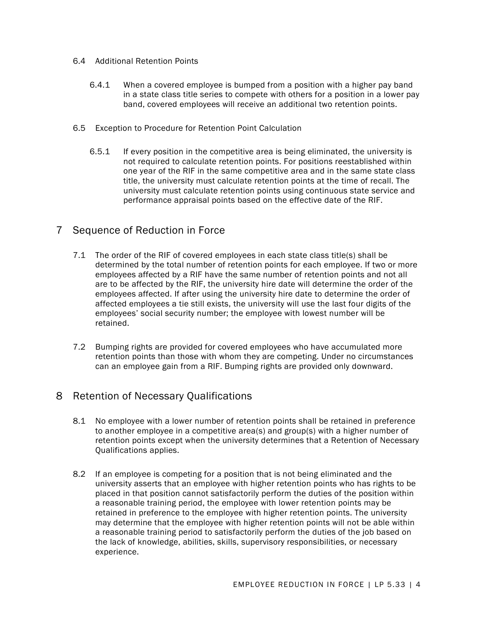- 6.4 Additional Retention Points
	- 6.4.1 When a covered employee is bumped from a position with a higher pay band in a state class title series to compete with others for a position in a lower pay band, covered employees will receive an additional two retention points.
- 6.5 Exception to Procedure for Retention Point Calculation
	- 6.5.1 If every position in the competitive area is being eliminated, the university is not required to calculate retention points. For positions reestablished within one year of the RIF in the same competitive area and in the same state class title, the university must calculate retention points at the time of recall. The university must calculate retention points using continuous state service and performance appraisal points based on the effective date of the RIF.

# 7 Sequence of Reduction in Force

- 7.1 The order of the RIF of covered employees in each state class title(s) shall be determined by the total number of retention points for each employee. If two or more employees affected by a RIF have the same number of retention points and not all are to be affected by the RIF, the university hire date will determine the order of the employees affected. If after using the university hire date to determine the order of affected employees a tie still exists, the university will use the last four digits of the employees' social security number; the employee with lowest number will be retained.
- 7.2 Bumping rights are provided for covered employees who have accumulated more retention points than those with whom they are competing. Under no circumstances can an employee gain from a RIF. Bumping rights are provided only downward.

# 8 Retention of Necessary Qualifications

- 8.1 No employee with a lower number of retention points shall be retained in preference to another employee in a competitive area(s) and group(s) with a higher number of retention points except when the university determines that a Retention of Necessary Qualifications applies.
- 8.2 If an employee is competing for a position that is not being eliminated and the university asserts that an employee with higher retention points who has rights to be placed in that position cannot satisfactorily perform the duties of the position within a reasonable training period, the employee with lower retention points may be retained in preference to the employee with higher retention points. The university may determine that the employee with higher retention points will not be able within a reasonable training period to satisfactorily perform the duties of the job based on the lack of knowledge, abilities, skills, supervisory responsibilities, or necessary experience.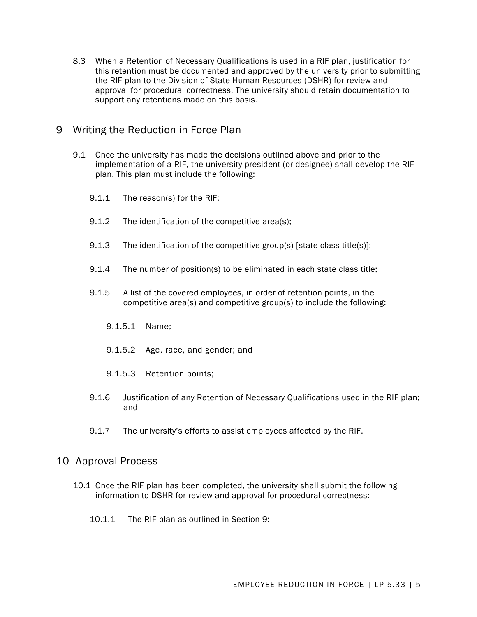8.3 When a Retention of Necessary Qualifications is used in a RIF plan, justification for this retention must be documented and approved by the university prior to submitting the RIF plan to the Division of State Human Resources (DSHR) for review and approval for procedural correctness. The university should retain documentation to support any retentions made on this basis.

### 9 Writing the Reduction in Force Plan

- 9.1 Once the university has made the decisions outlined above and prior to the implementation of a RIF, the university president (or designee) shall develop the RIF plan. This plan must include the following:
	- 9.1.1 The reason(s) for the RIF;
	- 9.1.2 The identification of the competitive area(s);
	- 9.1.3 The identification of the competitive group(s) [state class title(s)];
	- 9.1.4 The number of position(s) to be eliminated in each state class title;
	- 9.1.5 A list of the covered employees, in order of retention points, in the competitive area(s) and competitive group(s) to include the following:
		- 9.1.5.1 Name;
		- 9.1.5.2 Age, race, and gender; and
		- 9.1.5.3 Retention points;
	- 9.1.6 Justification of any Retention of Necessary Qualifications used in the RIF plan; and
	- 9.1.7 The university's efforts to assist employees affected by the RIF.

#### 10 Approval Process

- 10.1 Once the RIF plan has been completed, the university shall submit the following information to DSHR for review and approval for procedural correctness:
	- 10.1.1 The RIF plan as outlined in Section 9: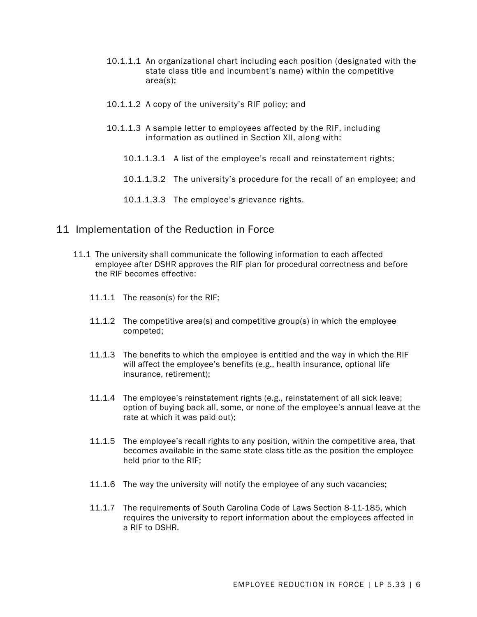- 10.1.1.1 An organizational chart including each position (designated with the state class title and incumbent's name) within the competitive area(s);
- 10.1.1.2 A copy of the university's RIF policy; and
- 10.1.1.3 A sample letter to employees affected by the RIF, including information as outlined in Section XII, along with:
	- 10.1.1.3.1 A list of the employee's recall and reinstatement rights;
	- 10.1.1.3.2 The university's procedure for the recall of an employee; and
	- 10.1.1.3.3 The employee's grievance rights.

#### 11 Implementation of the Reduction in Force

- 11.1 The university shall communicate the following information to each affected employee after DSHR approves the RIF plan for procedural correctness and before the RIF becomes effective:
	- 11.1.1 The reason(s) for the RIF;
	- 11.1.2 The competitive area(s) and competitive group(s) in which the employee competed;
	- 11.1.3 The benefits to which the employee is entitled and the way in which the RIF will affect the employee's benefits (e.g., health insurance, optional life insurance, retirement);
	- 11.1.4 The employee's reinstatement rights (e.g., reinstatement of all sick leave; option of buying back all, some, or none of the employee's annual leave at the rate at which it was paid out);
	- 11.1.5 The employee's recall rights to any position, within the competitive area, that becomes available in the same state class title as the position the employee held prior to the RIF;
	- 11.1.6 The way the university will notify the employee of any such vacancies;
	- 11.1.7 The requirements of South Carolina Code of Laws Section 8-11-185, which requires the university to report information about the employees affected in a RIF to DSHR.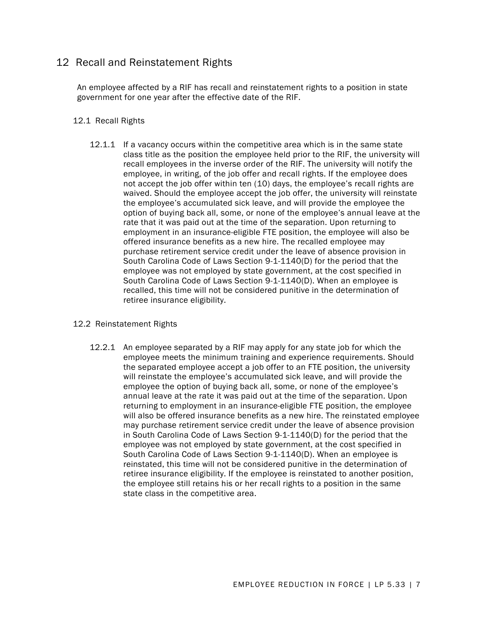# 12 Recall and Reinstatement Rights

An employee affected by a RIF has recall and reinstatement rights to a position in state government for one year after the effective date of the RIF.

#### 12.1 Recall Rights

12.1.1 If a vacancy occurs within the competitive area which is in the same state class title as the position the employee held prior to the RIF, the university will recall employees in the inverse order of the RIF. The university will notify the employee, in writing, of the job offer and recall rights. If the employee does not accept the job offer within ten (10) days, the employee's recall rights are waived. Should the employee accept the job offer, the university will reinstate the employee's accumulated sick leave, and will provide the employee the option of buying back all, some, or none of the employee's annual leave at the rate that it was paid out at the time of the separation. Upon returning to employment in an insurance-eligible FTE position, the employee will also be offered insurance benefits as a new hire. The recalled employee may purchase retirement service credit under the leave of absence provision in South Carolina Code of Laws Section 9-1-1140(D) for the period that the employee was not employed by state government, at the cost specified in South Carolina Code of Laws Section 9-1-1140(D). When an employee is recalled, this time will not be considered punitive in the determination of retiree insurance eligibility.

#### 12.2 Reinstatement Rights

12.2.1 An employee separated by a RIF may apply for any state job for which the employee meets the minimum training and experience requirements. Should the separated employee accept a job offer to an FTE position, the university will reinstate the employee's accumulated sick leave, and will provide the employee the option of buying back all, some, or none of the employee's annual leave at the rate it was paid out at the time of the separation. Upon returning to employment in an insurance-eligible FTE position, the employee will also be offered insurance benefits as a new hire. The reinstated employee may purchase retirement service credit under the leave of absence provision in South Carolina Code of Laws Section 9-1-1140(D) for the period that the employee was not employed by state government, at the cost specified in South Carolina Code of Laws Section 9-1-1140(D). When an employee is reinstated, this time will not be considered punitive in the determination of retiree insurance eligibility. If the employee is reinstated to another position, the employee still retains his or her recall rights to a position in the same state class in the competitive area.